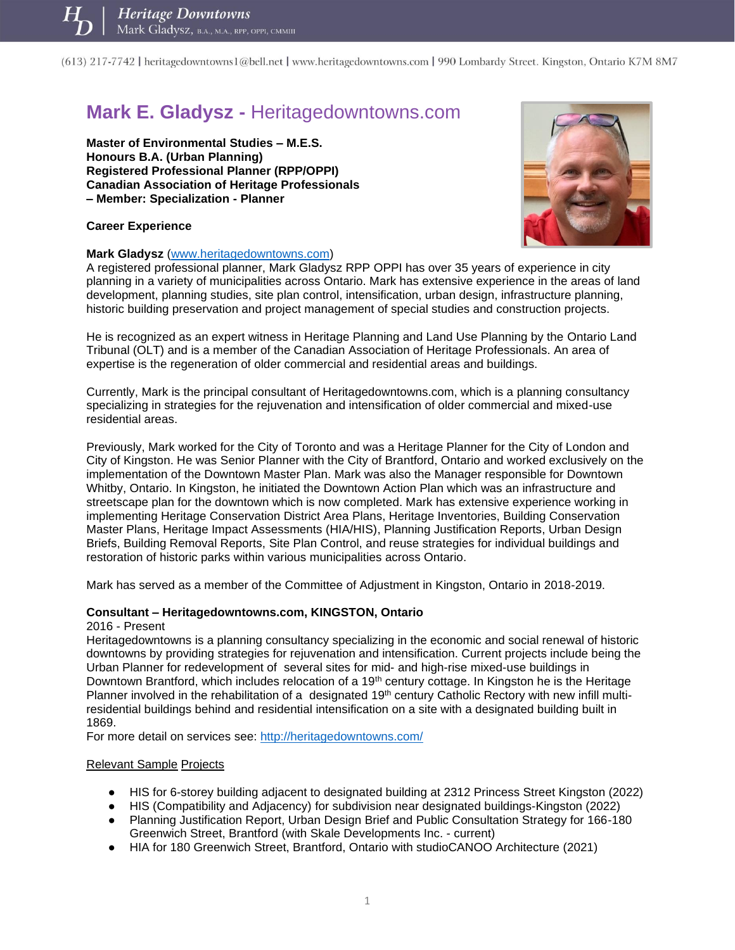# **Mark E. Gladysz -** Heritagedowntowns.com

**Master of Environmental Studies – M.E.S. Honours B.A. (Urban Planning) Registered Professional Planner (RPP/OPPI) Canadian Association of Heritage Professionals – Member: Specialization - Planner** 



#### **Career Experience**

#### **Mark Gladysz** [\(www.heritagedowntowns.com\)](http://www.heritagedowntowns.com/)

A registered professional planner, Mark Gladysz RPP OPPI has over 35 years of experience in city planning in a variety of municipalities across Ontario. Mark has extensive experience in the areas of land development, planning studies, site plan control, intensification, urban design, infrastructure planning, historic building preservation and project management of special studies and construction projects.

He is recognized as an expert witness in Heritage Planning and Land Use Planning by the Ontario Land Tribunal (OLT) and is a member of the Canadian Association of Heritage Professionals. An area of expertise is the regeneration of older commercial and residential areas and buildings.

Currently, Mark is the principal consultant of Heritagedowntowns.com, which is a planning consultancy specializing in strategies for the rejuvenation and intensification of older commercial and mixed-use residential areas.

Previously, Mark worked for the City of Toronto and was a Heritage Planner for the City of London and City of Kingston. He was Senior Planner with the City of Brantford, Ontario and worked exclusively on the implementation of the Downtown Master Plan. Mark was also the Manager responsible for Downtown Whitby, Ontario. In Kingston, he initiated the Downtown Action Plan which was an infrastructure and streetscape plan for the downtown which is now completed. Mark has extensive experience working in implementing Heritage Conservation District Area Plans, Heritage Inventories, Building Conservation Master Plans, Heritage Impact Assessments (HIA/HIS), Planning Justification Reports, Urban Design Briefs, Building Removal Reports, Site Plan Control, and reuse strategies for individual buildings and restoration of historic parks within various municipalities across Ontario.

Mark has served as a member of the Committee of Adjustment in Kingston, Ontario in 2018-2019.

## **Consultant – Heritagedowntowns.com, KINGSTON, Ontario**

#### 2016 - Present

Heritagedowntowns is a planning consultancy specializing in the economic and social renewal of historic downtowns by providing strategies for rejuvenation and intensification. Current projects include being the Urban Planner for redevelopment of several sites for mid- and high-rise mixed-use buildings in Downtown Brantford, which includes relocation of a 19<sup>th</sup> century cottage. In Kingston he is the Heritage Planner involved in the rehabilitation of a designated 19<sup>th</sup> century Catholic Rectory with new infill multiresidential buildings behind and residential intensification on a site with a designated building built in 1869.

For more detail on services see:<http://heritagedowntowns.com/>

#### Relevant Sample Projects

- HIS for 6-storey building adjacent to designated building at 2312 Princess Street Kingston (2022)
- HIS (Compatibility and Adjacency) for subdivision near designated buildings-Kingston (2022)
- Planning Justification Report, Urban Design Brief and Public Consultation Strategy for 166-180 Greenwich Street, Brantford (with Skale Developments Inc. - current)
- HIA for 180 Greenwich Street, Brantford, Ontario with studioCANOO Architecture (2021)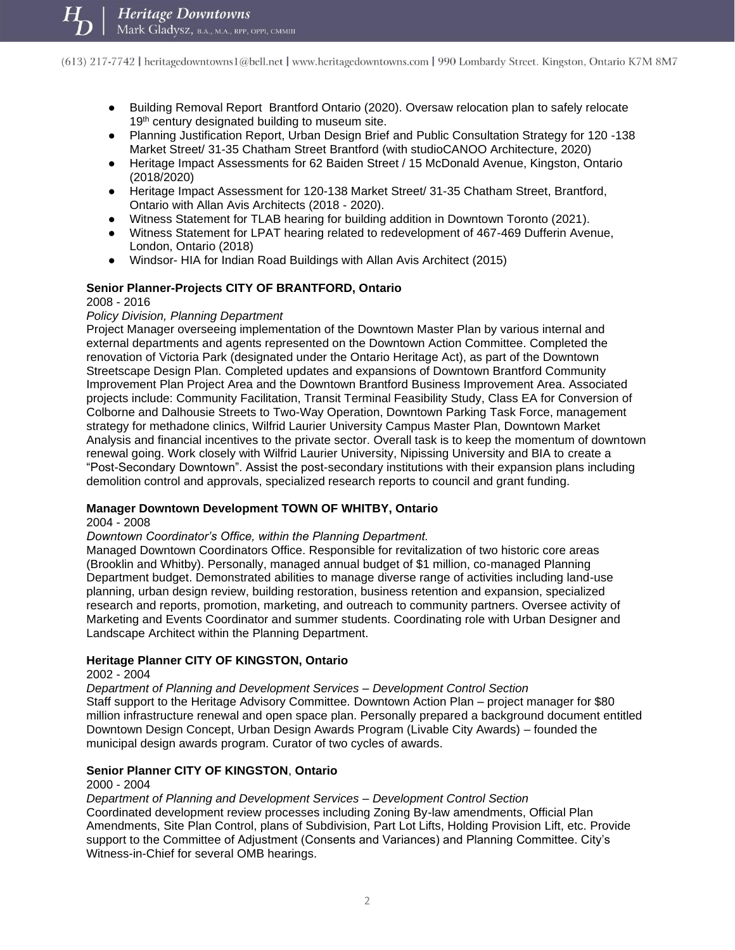- Building Removal Report Brantford Ontario (2020). Oversaw relocation plan to safely relocate 19<sup>th</sup> century designated building to museum site.
- Planning Justification Report, Urban Design Brief and Public Consultation Strategy for 120 -138 Market Street/ 31-35 Chatham Street Brantford (with studioCANOO Architecture, 2020)
- Heritage Impact Assessments for 62 Baiden Street / 15 McDonald Avenue, Kingston, Ontario (2018/2020)
- Heritage Impact Assessment for 120-138 Market Street/ 31-35 Chatham Street, Brantford, Ontario with Allan Avis Architects (2018 - 2020).
- Witness Statement for TLAB hearing for building addition in Downtown Toronto (2021).
- Witness Statement for LPAT hearing related to redevelopment of 467-469 Dufferin Avenue, London, Ontario (2018)
- Windsor- HIA for Indian Road Buildings with Allan Avis Architect (2015)

## **Senior Planner-Projects CITY OF BRANTFORD, Ontario**

2008 - 2016

#### *Policy Division, Planning Department*

Project Manager overseeing implementation of the Downtown Master Plan by various internal and external departments and agents represented on the Downtown Action Committee. Completed the renovation of Victoria Park (designated under the Ontario Heritage Act), as part of the Downtown Streetscape Design Plan. Completed updates and expansions of Downtown Brantford Community Improvement Plan Project Area and the Downtown Brantford Business Improvement Area. Associated projects include: Community Facilitation, Transit Terminal Feasibility Study, Class EA for Conversion of Colborne and Dalhousie Streets to Two-Way Operation, Downtown Parking Task Force, management strategy for methadone clinics, Wilfrid Laurier University Campus Master Plan, Downtown Market Analysis and financial incentives to the private sector. Overall task is to keep the momentum of downtown renewal going. Work closely with Wilfrid Laurier University, Nipissing University and BIA to create a "Post-Secondary Downtown". Assist the post-secondary institutions with their expansion plans including demolition control and approvals, specialized research reports to council and grant funding.

#### **Manager Downtown Development TOWN OF WHITBY, Ontario**

2004 - 2008

#### *Downtown Coordinator's Office, within the Planning Department.*

Managed Downtown Coordinators Office. Responsible for revitalization of two historic core areas (Brooklin and Whitby). Personally, managed annual budget of \$1 million, co-managed Planning Department budget. Demonstrated abilities to manage diverse range of activities including land-use planning, urban design review, building restoration, business retention and expansion, specialized research and reports, promotion, marketing, and outreach to community partners. Oversee activity of Marketing and Events Coordinator and summer students. Coordinating role with Urban Designer and Landscape Architect within the Planning Department.

#### **Heritage Planner CITY OF KINGSTON, Ontario**

#### 2002 - 2004

*Department of Planning and Development Services – Development Control Section* 

Staff support to the Heritage Advisory Committee. Downtown Action Plan – project manager for \$80 million infrastructure renewal and open space plan. Personally prepared a background document entitled Downtown Design Concept, Urban Design Awards Program (Livable City Awards) – founded the municipal design awards program. Curator of two cycles of awards.

# **Senior Planner CITY OF KINGSTON**, **Ontario**

#### 2000 - 2004

*Department of Planning and Development Services – Development Control Section*  Coordinated development review processes including Zoning By-law amendments, Official Plan Amendments, Site Plan Control, plans of Subdivision, Part Lot Lifts, Holding Provision Lift, etc. Provide support to the Committee of Adjustment (Consents and Variances) and Planning Committee. City's Witness-in-Chief for several OMB hearings.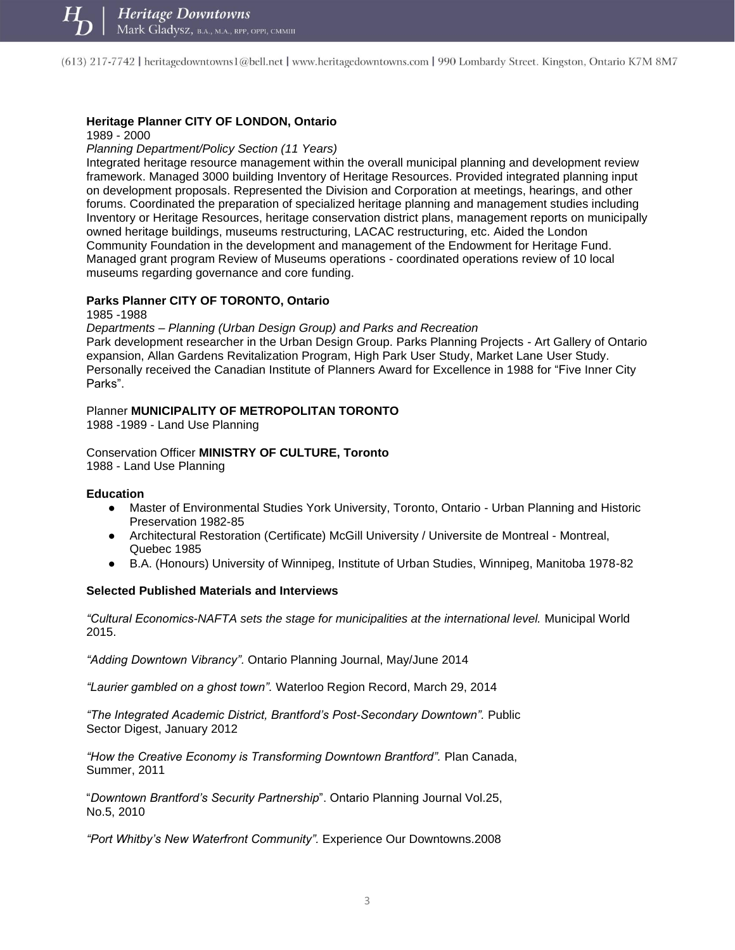# **Heritage Planner CITY OF LONDON, Ontario**

1989 - 2000

*Planning Department/Policy Section (11 Years)* 

Integrated heritage resource management within the overall municipal planning and development review framework. Managed 3000 building Inventory of Heritage Resources. Provided integrated planning input on development proposals. Represented the Division and Corporation at meetings, hearings, and other forums. Coordinated the preparation of specialized heritage planning and management studies including Inventory or Heritage Resources, heritage conservation district plans, management reports on municipally owned heritage buildings, museums restructuring, LACAC restructuring, etc. Aided the London Community Foundation in the development and management of the Endowment for Heritage Fund. Managed grant program Review of Museums operations - coordinated operations review of 10 local museums regarding governance and core funding.

#### **Parks Planner CITY OF TORONTO, Ontario**

1985 -1988

*Departments – Planning (Urban Design Group) and Parks and Recreation* 

Park development researcher in the Urban Design Group. Parks Planning Projects - Art Gallery of Ontario expansion, Allan Gardens Revitalization Program, High Park User Study, Market Lane User Study. Personally received the Canadian Institute of Planners Award for Excellence in 1988 for "Five Inner City Parks".

#### Planner **MUNICIPALITY OF METROPOLITAN TORONTO**

1988 -1989 - Land Use Planning

Conservation Officer **MINISTRY OF CULTURE, Toronto** 1988 - Land Use Planning

#### **Education**

- Master of Environmental Studies York University, Toronto, Ontario Urban Planning and Historic Preservation 1982-85
- Architectural Restoration (Certificate) McGill University / Universite de Montreal Montreal, Quebec 1985
- B.A. (Honours) University of Winnipeg, Institute of Urban Studies, Winnipeg, Manitoba 1978-82

#### **Selected Published Materials and Interviews**

*"Cultural Economics-NAFTA sets the stage for municipalities at the international level.* Municipal World 2015.

*"Adding Downtown Vibrancy".* Ontario Planning Journal, May/June 2014

*"Laurier gambled on a ghost town".* Waterloo Region Record, March 29, 2014

*"The Integrated Academic District, Brantford's Post-Secondary Downtown".* Public Sector Digest, January 2012

*"How the Creative Economy is Transforming Downtown Brantford".* Plan Canada, Summer, 2011

"*Downtown Brantford's Security Partnership*". Ontario Planning Journal Vol.25, No.5, 2010

*"Port Whitby's New Waterfront Community".* Experience Our Downtowns.2008